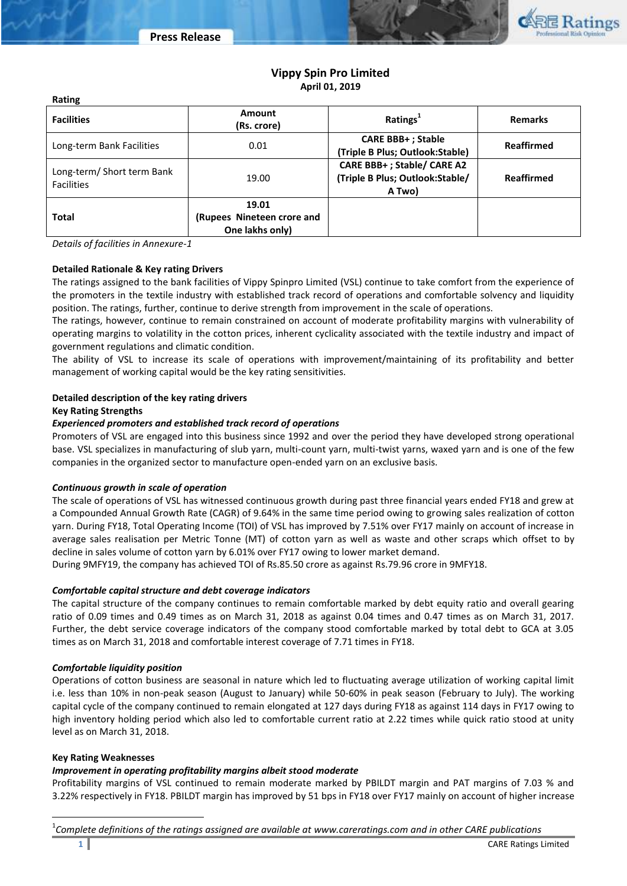

# **Vippy Spin Pro Limited April 01, 2019**

| <b>Facilities</b>                               | <b>Amount</b><br>(Rs. crore)                           | Ratings <sup>1</sup>                                                    | <b>Remarks</b> |
|-------------------------------------------------|--------------------------------------------------------|-------------------------------------------------------------------------|----------------|
| Long-term Bank Facilities                       | 0.01                                                   | <b>CARE BBB+ ; Stable</b><br>(Triple B Plus; Outlook:Stable)            | Reaffirmed     |
| Long-term/ Short term Bank<br><b>Facilities</b> | 19.00                                                  | CARE BBB+; Stable/ CARE A2<br>(Triple B Plus; Outlook:Stable/<br>A Two) | Reaffirmed     |
| <b>Total</b>                                    | 19.01<br>(Rupees Nineteen crore and<br>One lakhs only) |                                                                         |                |

*Details of facilities in Annexure-1*

**Rating**

#### **Detailed Rationale & Key rating Drivers**

The ratings assigned to the bank facilities of Vippy Spinpro Limited (VSL) continue to take comfort from the experience of the promoters in the textile industry with established track record of operations and comfortable solvency and liquidity position. The ratings, further, continue to derive strength from improvement in the scale of operations.

The ratings, however, continue to remain constrained on account of moderate profitability margins with vulnerability of operating margins to volatility in the cotton prices, inherent cyclicality associated with the textile industry and impact of government regulations and climatic condition.

The ability of VSL to increase its scale of operations with improvement/maintaining of its profitability and better management of working capital would be the key rating sensitivities.

#### **Detailed description of the key rating drivers**

#### **Key Rating Strengths**

#### *Experienced promoters and established track record of operations*

Promoters of VSL are engaged into this business since 1992 and over the period they have developed strong operational base. VSL specializes in manufacturing of slub yarn, multi-count yarn, multi-twist yarns, waxed yarn and is one of the few companies in the organized sector to manufacture open-ended yarn on an exclusive basis.

#### *Continuous growth in scale of operation*

The scale of operations of VSL has witnessed continuous growth during past three financial years ended FY18 and grew at a Compounded Annual Growth Rate (CAGR) of 9.64% in the same time period owing to growing sales realization of cotton yarn. During FY18, Total Operating Income (TOI) of VSL has improved by 7.51% over FY17 mainly on account of increase in average sales realisation per Metric Tonne (MT) of cotton yarn as well as waste and other scraps which offset to by decline in sales volume of cotton yarn by 6.01% over FY17 owing to lower market demand.

During 9MFY19, the company has achieved TOI of Rs.85.50 crore as against Rs.79.96 crore in 9MFY18.

#### *Comfortable capital structure and debt coverage indicators*

The capital structure of the company continues to remain comfortable marked by debt equity ratio and overall gearing ratio of 0.09 times and 0.49 times as on March 31, 2018 as against 0.04 times and 0.47 times as on March 31, 2017. Further, the debt service coverage indicators of the company stood comfortable marked by total debt to GCA at 3.05 times as on March 31, 2018 and comfortable interest coverage of 7.71 times in FY18.

#### *Comfortable liquidity position*

Operations of cotton business are seasonal in nature which led to fluctuating average utilization of working capital limit i.e. less than 10% in non-peak season (August to January) while 50-60% in peak season (February to July). The working capital cycle of the company continued to remain elongated at 127 days during FY18 as against 114 days in FY17 owing to high inventory holding period which also led to comfortable current ratio at 2.22 times while quick ratio stood at unity level as on March 31, 2018.

# **Key Rating Weaknesses**

l

# *Improvement in operating profitability margins albeit stood moderate*

Profitability margins of VSL continued to remain moderate marked by PBILDT margin and PAT margins of 7.03 % and 3.22% respectively in FY18. PBILDT margin has improved by 51 bps in FY18 over FY17 mainly on account of higher increase

1 *Complete definitions of the ratings assigned are available at www.careratings.com and in other CARE publications*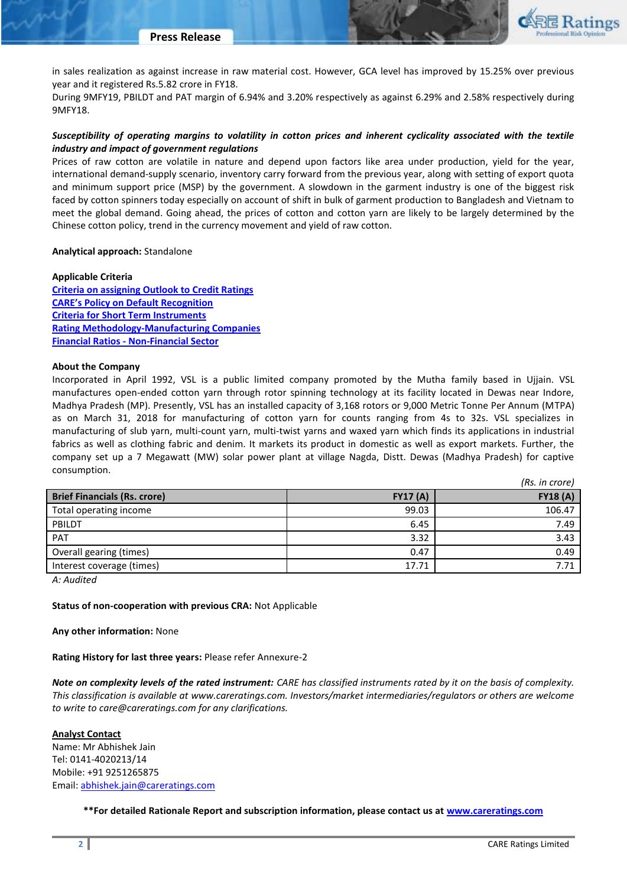

in sales realization as against increase in raw material cost. However, GCA level has improved by 15.25% over previous year and it registered Rs.5.82 crore in FY18.

During 9MFY19, PBILDT and PAT margin of 6.94% and 3.20% respectively as against 6.29% and 2.58% respectively during 9MFY18.

# *Susceptibility of operating margins to volatility in cotton prices and inherent cyclicality associated with the textile industry and impact of government regulations*

Prices of raw cotton are volatile in nature and depend upon factors like area under production, yield for the year, international demand-supply scenario, inventory carry forward from the previous year, along with setting of export quota and minimum support price (MSP) by the government. A slowdown in the garment industry is one of the biggest risk faced by cotton spinners today especially on account of shift in bulk of garment production to Bangladesh and Vietnam to meet the global demand. Going ahead, the prices of cotton and cotton yarn are likely to be largely determined by the Chinese cotton policy, trend in the currency movement and yield of raw cotton.

#### **Analytical approach:** Standalone

**Applicable Criteria [Criteria on assigning Outlook to Credit Ratings](http://www.careratings.com/upload/NewsFiles/GetRated/Outlook%20Criteria.pdf) [CARE's Policy on Default Recognition](http://www.careratings.com/pdf/resources/CAREPolicyonDefaultRecognition.pdf) [Criteria for Short Term Instruments](http://www.careratings.com/upload/NewsFiles/GetRated/Short%20Term%20Instruments.pdf) [Rating Methodology-Manufacturing Companies](http://www.careratings.com/upload/NewsFiles/GetRated/Manufacturing%20Companies.pdf) Financial Ratios - [Non-Financial Sector](http://www.careratings.com/pdf/resources/FinancialratiosNonFinancialSector.pdf)**

#### **About the Company**

Incorporated in April 1992, VSL is a public limited company promoted by the Mutha family based in Ujjain. VSL manufactures open-ended cotton yarn through rotor spinning technology at its facility located in Dewas near Indore, Madhya Pradesh (MP). Presently, VSL has an installed capacity of 3,168 rotors or 9,000 Metric Tonne Per Annum (MTPA) as on March 31, 2018 for manufacturing of cotton yarn for counts ranging from 4s to 32s. VSL specializes in manufacturing of slub yarn, multi-count yarn, multi-twist yarns and waxed yarn which finds its applications in industrial fabrics as well as clothing fabric and denim. It markets its product in domestic as well as export markets. Further, the company set up a 7 Megawatt (MW) solar power plant at village Nagda, Distt. Dewas (Madhya Pradesh) for captive consumption.

|                                     |                 | (Rs. in crore)  |
|-------------------------------------|-----------------|-----------------|
| <b>Brief Financials (Rs. crore)</b> | <b>FY17 (A)</b> | <b>FY18 (A)</b> |
| Total operating income              | 99.03           | 106.47          |
| PBILDT                              | 6.45            | 7.49            |
| <b>PAT</b>                          | 3.32            | 3.43            |
| Overall gearing (times)             | 0.47            | 0.49            |
| Interest coverage (times)           | 17.71           | 7.71            |

*A: Audited* 

#### **Status of non-cooperation with previous CRA:** Not Applicable

#### **Any other information:** None

**Rating History for last three years:** Please refer Annexure-2

*Note on complexity levels of the rated instrument: CARE has classified instruments rated by it on the basis of complexity. This classification is available at www.careratings.com. Investors/market intermediaries/regulators or others are welcome to write to care@careratings.com for any clarifications.*

#### **Analyst Contact**

Name: Mr Abhishek Jain Tel: 0141-4020213/14 Mobile: +91 9251265875 Email: [abhishek.jain@careratings.com](mailto:abhishek.jain@careratings.com)

**\*\*For detailed Rationale Report and subscription information, please contact us at [www.careratings.com](http://www.careratings.com/)**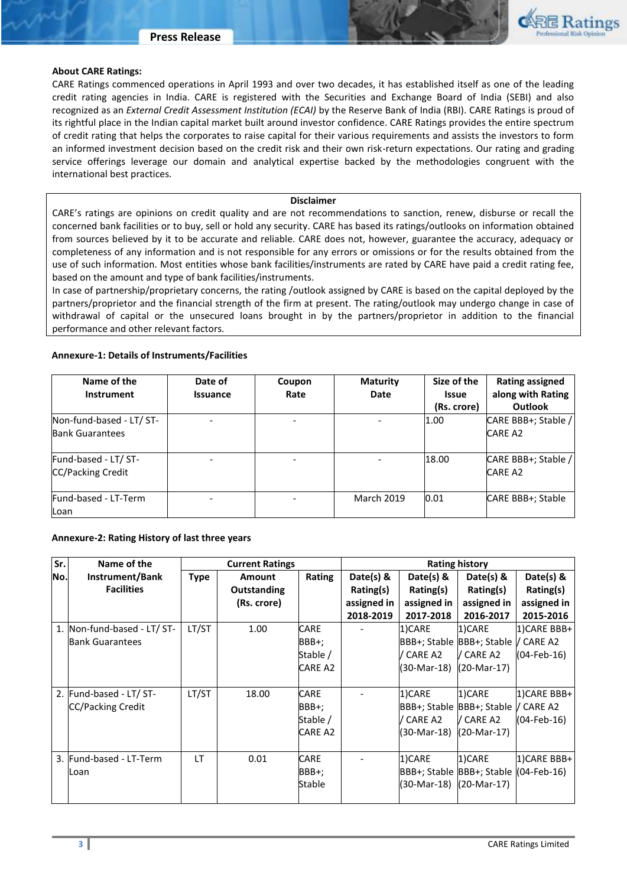

#### **About CARE Ratings:**

CARE Ratings commenced operations in April 1993 and over two decades, it has established itself as one of the leading credit rating agencies in India. CARE is registered with the Securities and Exchange Board of India (SEBI) and also recognized as an *External Credit Assessment Institution (ECAI)* by the Reserve Bank of India (RBI). CARE Ratings is proud of its rightful place in the Indian capital market built around investor confidence. CARE Ratings provides the entire spectrum of credit rating that helps the corporates to raise capital for their various requirements and assists the investors to form an informed investment decision based on the credit risk and their own risk-return expectations. Our rating and grading service offerings leverage our domain and analytical expertise backed by the methodologies congruent with the international best practices.

#### **Disclaimer**

CARE's ratings are opinions on credit quality and are not recommendations to sanction, renew, disburse or recall the concerned bank facilities or to buy, sell or hold any security. CARE has based its ratings/outlooks on information obtained from sources believed by it to be accurate and reliable. CARE does not, however, guarantee the accuracy, adequacy or completeness of any information and is not responsible for any errors or omissions or for the results obtained from the use of such information. Most entities whose bank facilities/instruments are rated by CARE have paid a credit rating fee, based on the amount and type of bank facilities/instruments.

In case of partnership/proprietary concerns, the rating /outlook assigned by CARE is based on the capital deployed by the partners/proprietor and the financial strength of the firm at present. The rating/outlook may undergo change in case of withdrawal of capital or the unsecured loans brought in by the partners/proprietor in addition to the financial performance and other relevant factors.

#### **Annexure-1: Details of Instruments/Facilities**

| Name of the              | Date of         | Coupon<br>Rate | <b>Maturity</b>   | Size of the  | Rating assigned<br>along with Rating |  |
|--------------------------|-----------------|----------------|-------------------|--------------|--------------------------------------|--|
| <b>Instrument</b>        | <b>Issuance</b> |                | Date              | <b>Issue</b> |                                      |  |
|                          |                 |                |                   | (Rs. crore)  | <b>Outlook</b>                       |  |
| Non-fund-based - LT/ ST- |                 |                | ۰                 | 1.00         | CARE BBB+; Stable /                  |  |
| <b>Bank Guarantees</b>   |                 |                |                   |              | <b>CARE A2</b>                       |  |
| Fund-based - LT/ ST-     |                 |                |                   | 18.00        | CARE BBB+; Stable /                  |  |
| <b>CC/Packing Credit</b> |                 |                |                   |              | <b>CARE A2</b>                       |  |
| Fund-based - LT-Term     |                 |                | <b>March 2019</b> | 0.01         | CARE BBB+; Stable                    |  |
| Loan                     |                 |                |                   |              |                                      |  |

#### **Annexure-2: Rating History of last three years**

| Sr. | Name of the                 | <b>Current Ratings</b> |             |                |             | <b>Rating history</b> |                           |                |
|-----|-----------------------------|------------------------|-------------|----------------|-------------|-----------------------|---------------------------|----------------|
| No. | Instrument/Bank             | <b>Type</b>            | Amount      | Rating         | Date(s) $8$ | Date(s) $\&$          | Date(s) $8$               | Date(s) &      |
|     | <b>Facilities</b>           |                        | Outstanding |                | Rating(s)   | Rating(s)             | Rating(s)                 | Rating(s)      |
|     |                             |                        | (Rs. crore) |                | assigned in | assigned in           | assigned in               | assigned in    |
|     |                             |                        |             |                | 2018-2019   | 2017-2018             | 2016-2017                 | 2015-2016      |
|     | 1. Non-fund-based - LT/ ST- | LT/ST                  | 1.00        | <b>CARE</b>    |             | 1)CARE                | 1)CARE                    | 1) CARE BBB+   |
|     | <b>Bank Guarantees</b>      |                        |             | BBB+;          |             |                       | BBB+; Stable BBB+; Stable | / CARE A2      |
|     |                             |                        |             | Stable /       |             | / CARE A2             | V CARE A2                 | $(04$ -Feb-16) |
|     |                             |                        |             | <b>CARE A2</b> |             | (30-Mar-18)           | (20-Mar-17)               |                |
|     |                             |                        |             |                |             |                       |                           |                |
|     | 2. Fund-based - LT/ ST-     | LT/ST                  | 18.00       | <b>CARE</b>    |             | 1)CARE                | 1)CARE                    | 1) CARE BBB+   |
|     | CC/Packing Credit           |                        |             | BBB+;          |             |                       | BBB+; Stable BBB+; Stable | / CARE A2      |
|     |                             |                        |             | Stable /       |             | / CARE A2             | / CARE A2                 | $(04$ -Feb-16) |
|     |                             |                        |             | <b>CARE A2</b> |             | (30-Mar-18)           | (20-Mar-17)               |                |
|     |                             |                        |             |                |             |                       |                           |                |
|     | 3. Fund-based - LT-Term     | LT                     | 0.01        | <b>CARE</b>    |             | 1)CARE                | 1)CARE                    | 1) CARE BBB+   |
|     | Loan                        |                        |             | BBB+;          |             |                       | BBB+; Stable BBB+; Stable | $(04-Feb-16)$  |
|     |                             |                        |             | Stable         |             | (30-Mar-18)           | (20-Mar-17)               |                |
|     |                             |                        |             |                |             |                       |                           |                |